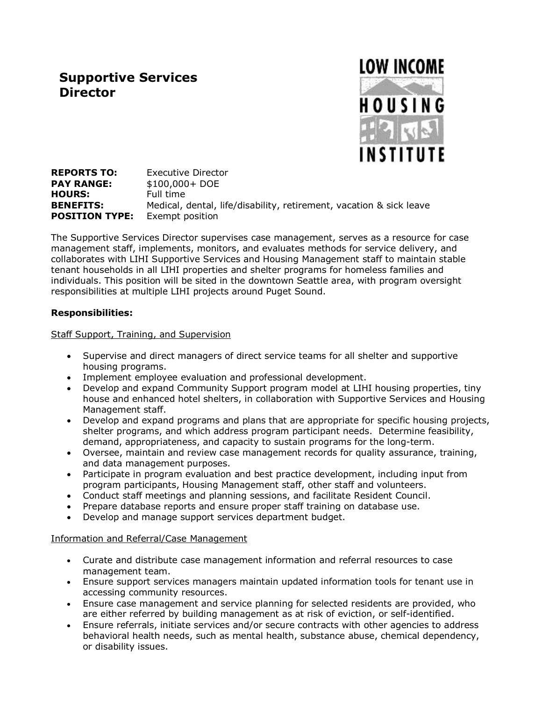# **Supportive Services Director**



**REPORTS TO:** Executive Director **PAY RANGE:** \$100,000+ DOE **HOURS:** Full time **BENEFITS:** Medical, dental, life/disability, retirement, vacation & sick leave **POSITION TYPE:** Exempt position

The Supportive Services Director supervises case management, serves as a resource for case management staff, implements, monitors, and evaluates methods for service delivery, and collaborates with LIHI Supportive Services and Housing Management staff to maintain stable tenant households in all LIHI properties and shelter programs for homeless families and individuals. This position will be sited in the downtown Seattle area, with program oversight responsibilities at multiple LIHI projects around Puget Sound.

### **Responsibilities:**

Staff Support, Training, and Supervision

- Supervise and direct managers of direct service teams for all shelter and supportive housing programs.
- Implement employee evaluation and professional development.
- Develop and expand Community Support program model at LIHI housing properties, tiny house and enhanced hotel shelters, in collaboration with Supportive Services and Housing Management staff.
- Develop and expand programs and plans that are appropriate for specific housing projects, shelter programs, and which address program participant needs. Determine feasibility, demand, appropriateness, and capacity to sustain programs for the long-term.
- Oversee, maintain and review case management records for quality assurance, training, and data management purposes.
- Participate in program evaluation and best practice development, including input from program participants, Housing Management staff, other staff and volunteers.
- Conduct staff meetings and planning sessions, and facilitate Resident Council.
- Prepare database reports and ensure proper staff training on database use.
- Develop and manage support services department budget.

#### Information and Referral/Case Management

- Curate and distribute case management information and referral resources to case management team.
- Ensure support services managers maintain updated information tools for tenant use in accessing community resources.
- Ensure case management and service planning for selected residents are provided, who are either referred by building management as at risk of eviction, or self-identified.
- Ensure referrals, initiate services and/or secure contracts with other agencies to address behavioral health needs, such as mental health, substance abuse, chemical dependency, or disability issues.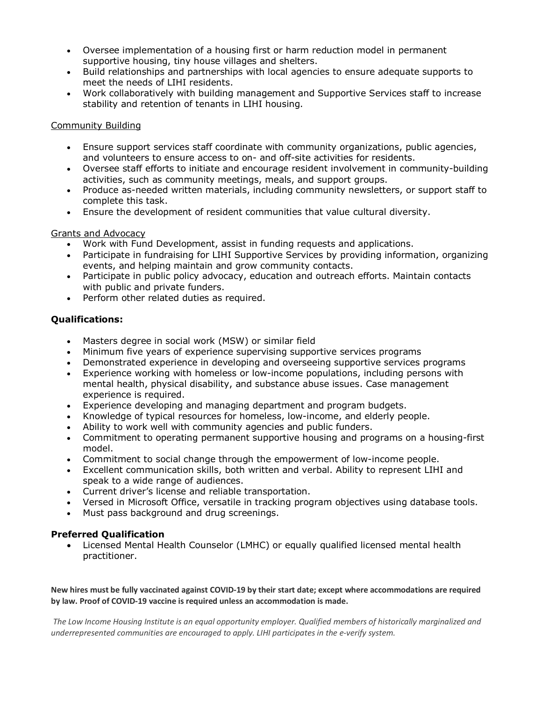- Oversee implementation of a housing first or harm reduction model in permanent supportive housing, tiny house villages and shelters.
- Build relationships and partnerships with local agencies to ensure adequate supports to meet the needs of LIHI residents.
- Work collaboratively with building management and Supportive Services staff to increase stability and retention of tenants in LIHI housing.

#### Community Building

- Ensure support services staff coordinate with community organizations, public agencies, and volunteers to ensure access to on- and off-site activities for residents.
- Oversee staff efforts to initiate and encourage resident involvement in community-building activities, such as community meetings, meals, and support groups.
- Produce as-needed written materials, including community newsletters, or support staff to complete this task.
- Ensure the development of resident communities that value cultural diversity.

### Grants and Advocacy

- Work with Fund Development, assist in funding requests and applications.
- Participate in fundraising for LIHI Supportive Services by providing information, organizing events, and helping maintain and grow community contacts.
- Participate in public policy advocacy, education and outreach efforts. Maintain contacts with public and private funders.
- Perform other related duties as required.

## **Qualifications:**

- Masters degree in social work (MSW) or similar field
- Minimum five years of experience supervising supportive services programs
- Demonstrated experience in developing and overseeing supportive services programs
- Experience working with homeless or low-income populations, including persons with mental health, physical disability, and substance abuse issues. Case management experience is required.
- Experience developing and managing department and program budgets.
- Knowledge of typical resources for homeless, low-income, and elderly people.
- Ability to work well with community agencies and public funders.
- Commitment to operating permanent supportive housing and programs on a housing-first model.
- Commitment to social change through the empowerment of low-income people.
- Excellent communication skills, both written and verbal. Ability to represent LIHI and speak to a wide range of audiences.
- Current driver's license and reliable transportation.
- Versed in Microsoft Office, versatile in tracking program objectives using database tools.
- Must pass background and drug screenings.

#### **Preferred Qualification**

 Licensed Mental Health Counselor (LMHC) or equally qualified licensed mental health practitioner.

New hires must be fully vaccinated against COVID-19 by their start date; except where accommodations are required **by law. Proof of COVID-19 vaccine is required unless an accommodation is made.**

The Low Income Housing Institute is an equal opportunity employer. Qualified members of historically marginalized and *underrepresented communities are encouraged to apply. LIHI participates in the e-verify system.*